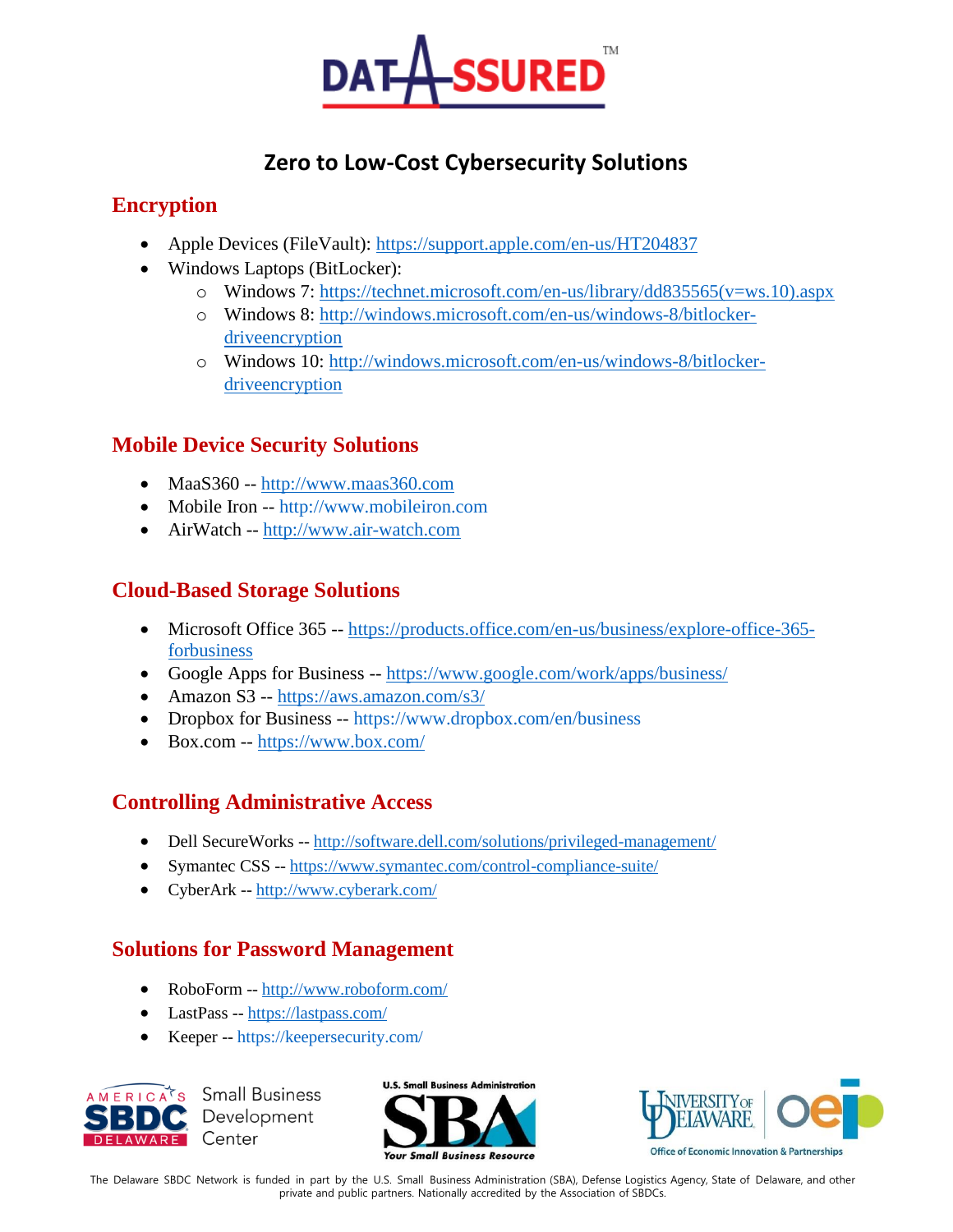

# **Zero to Low-Cost Cybersecurity Solutions**

#### **Encryption**

- Apple Devices (FileVault):<https://support.apple.com/en-us/HT204837>
- Windows Laptops (BitLocker):
	- o Windows 7: [https://technet.microsoft.com/en-us/library/dd835565\(v=ws.10\).aspx](https://technet.microsoft.com/en-us/library/dd835565(v=ws.10).aspx)
	- o Windows 8: [http://windows.microsoft.com/en-us/windows-8/bitlocker](http://windows.microsoft.com/en-us/windows-8/bitlocker-driveencryption)[driveencryption](http://windows.microsoft.com/en-us/windows-8/bitlocker-driveencryption)
	- o Windows 10: [http://windows.microsoft.com/en-us/windows-8/bitlocker](http://windows.microsoft.com/en-us/windows-8/bitlocker-driveencryption)[driveencryption](http://windows.microsoft.com/en-us/windows-8/bitlocker-driveencryption)

### **Mobile Device Security Solutions**

- MaaS360 -- [http://www.maas360.com](http://www.maas360.com/)
- Mobile Iron -- http://www.mobileiron.com
- AirWatch -- [http://www.air-watch.com](http://www.air-watch.com/)

# **Cloud-Based Storage Solutions**

- Microsoft Office 365 -- [https://products.office.com/en-us/business/explore-office-365](https://products.office.com/en-us/business/explore-office-365-forbusiness) [forbusiness](https://products.office.com/en-us/business/explore-office-365-forbusiness)
- Google Apps for Business -- <https://www.google.com/work/apps/business/>
- Amazon S3 -- <https://aws.amazon.com/s3/>
- Dropbox for Business -- https://www.dropbox.com/en/business
- Box.com -- <https://www.box.com/>

# **Controlling Administrative Access**

- Dell SecureWorks -- <http://software.dell.com/solutions/privileged-management/>
- Symantec CSS -- <https://www.symantec.com/control-compliance-suite/>
- CyberArk -- <http://www.cyberark.com/>

# **Solutions for Password Management**

- RoboForm -- <http://www.roboform.com/>
- LastPass -- <https://lastpass.com/>
- Keeper -- https://keepersecurity.com/



**Small Business** Development Center





The Delaware SBDC Network is funded in part by the U.S. Small Business Administration (SBA), Defense Logistics Agency, State of Delaware, and other private and public partners. Nationally accredited by the Association of SBDCs.